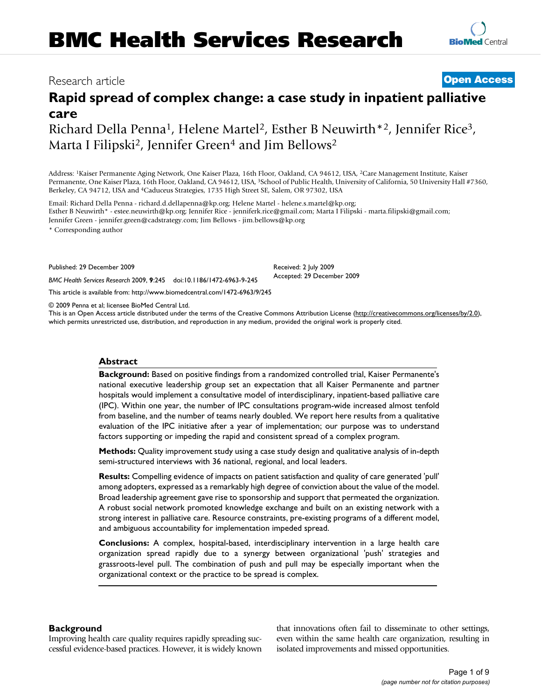# Research article **[Open Access](http://www.biomedcentral.com/info/about/charter/)**

# **Rapid spread of complex change: a case study in inpatient palliative care**

Richard Della Penna<sup>1</sup>, Helene Martel<sup>2</sup>, Esther B Neuwirth<sup>\*2</sup>, Jennifer Rice<sup>3</sup>, Marta I Filipski<sup>2</sup>, Jennifer Green<sup>4</sup> and Jim Bellows<sup>2</sup>

Address: 1Kaiser Permanente Aging Network, One Kaiser Plaza, 16th Floor, Oakland, CA 94612, USA, 2Care Management Institute, Kaiser Permanente, One Kaiser Plaza, 16th Floor, Oakland, CA 94612, USA, 3School of Public Health, University of California, 50 University Hall #7360, Berkeley, CA 94712, USA and 4Caduceus Strategies, 1735 High Street SE, Salem, OR 97302, USA

Email: Richard Della Penna - richard.d.dellapenna@kp.org; Helene Martel - helene.s.martel@kp.org; Esther B Neuwirth\* - estee.neuwirth@kp.org; Jennifer Rice - jenniferk.rice@gmail.com; Marta I Filipski - marta.filipski@gmail.com; Jennifer Green - jennifer.green@cadstrategy.com; Jim Bellows - jim.bellows@kp.org

\* Corresponding author

Published: 29 December 2009

*BMC Health Services Research* 2009, **9**:245 doi:10.1186/1472-6963-9-245

[This article is available from: http://www.biomedcentral.com/1472-6963/9/245](http://www.biomedcentral.com/1472-6963/9/245)

© 2009 Penna et al; licensee BioMed Central Ltd.

This is an Open Access article distributed under the terms of the Creative Commons Attribution License [\(http://creativecommons.org/licenses/by/2.0\)](http://creativecommons.org/licenses/by/2.0), which permits unrestricted use, distribution, and reproduction in any medium, provided the original work is properly cited.

Received: 2 July 2009 Accepted: 29 December 2009

#### **Abstract**

**Background:** Based on positive findings from a randomized controlled trial, Kaiser Permanente's national executive leadership group set an expectation that all Kaiser Permanente and partner hospitals would implement a consultative model of interdisciplinary, inpatient-based palliative care (IPC). Within one year, the number of IPC consultations program-wide increased almost tenfold from baseline, and the number of teams nearly doubled. We report here results from a qualitative evaluation of the IPC initiative after a year of implementation; our purpose was to understand factors supporting or impeding the rapid and consistent spread of a complex program.

**Methods:** Quality improvement study using a case study design and qualitative analysis of in-depth semi-structured interviews with 36 national, regional, and local leaders.

**Results:** Compelling evidence of impacts on patient satisfaction and quality of care generated 'pull' among adopters, expressed as a remarkably high degree of conviction about the value of the model. Broad leadership agreement gave rise to sponsorship and support that permeated the organization. A robust social network promoted knowledge exchange and built on an existing network with a strong interest in palliative care. Resource constraints, pre-existing programs of a different model, and ambiguous accountability for implementation impeded spread.

**Conclusions:** A complex, hospital-based, interdisciplinary intervention in a large health care organization spread rapidly due to a synergy between organizational 'push' strategies and grassroots-level pull. The combination of push and pull may be especially important when the organizational context or the practice to be spread is complex.

#### **Background**

Improving health care quality requires rapidly spreading successful evidence-based practices. However, it is widely known that innovations often fail to disseminate to other settings, even within the same health care organization, resulting in isolated improvements and missed opportunities.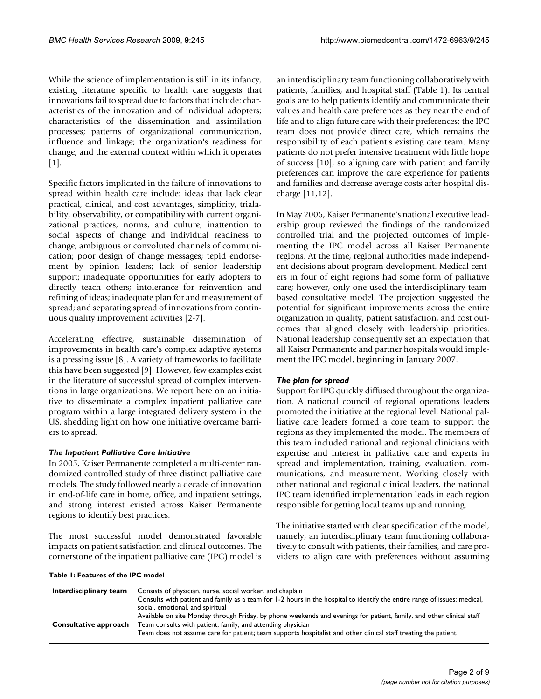While the science of implementation is still in its infancy, existing literature specific to health care suggests that innovations fail to spread due to factors that include: characteristics of the innovation and of individual adopters; characteristics of the dissemination and assimilation processes; patterns of organizational communication, influence and linkage; the organization's readiness for change; and the external context within which it operates  $[1]$ .

Specific factors implicated in the failure of innovations to spread within health care include: ideas that lack clear practical, clinical, and cost advantages, simplicity, trialability, observability, or compatibility with current organizational practices, norms, and culture; inattention to social aspects of change and individual readiness to change; ambiguous or convoluted channels of communication; poor design of change messages; tepid endorsement by opinion leaders; lack of senior leadership support; inadequate opportunities for early adopters to directly teach others; intolerance for reinvention and refining of ideas; inadequate plan for and measurement of spread; and separating spread of innovations from continuous quality improvement activities [2-7].

Accelerating effective, sustainable dissemination of improvements in health care's complex adaptive systems is a pressing issue [8]. A variety of frameworks to facilitate this have been suggested [9]. However, few examples exist in the literature of successful spread of complex interventions in large organizations. We report here on an initiative to disseminate a complex inpatient palliative care program within a large integrated delivery system in the US, shedding light on how one initiative overcame barriers to spread.

#### *The Inpatient Palliative Care Initiative*

In 2005, Kaiser Permanente completed a multi-center randomized controlled study of three distinct palliative care models. The study followed nearly a decade of innovation in end-of-life care in home, office, and inpatient settings, and strong interest existed across Kaiser Permanente regions to identify best practices.

The most successful model demonstrated favorable impacts on patient satisfaction and clinical outcomes. The cornerstone of the inpatient palliative care (IPC) model is an interdisciplinary team functioning collaboratively with patients, families, and hospital staff (Table 1). Its central goals are to help patients identify and communicate their values and health care preferences as they near the end of life and to align future care with their preferences; the IPC team does not provide direct care, which remains the responsibility of each patient's existing care team. Many patients do not prefer intensive treatment with little hope of success [10], so aligning care with patient and family preferences can improve the care experience for patients and families and decrease average costs after hospital discharge [11,12].

In May 2006, Kaiser Permanente's national executive leadership group reviewed the findings of the randomized controlled trial and the projected outcomes of implementing the IPC model across all Kaiser Permanente regions. At the time, regional authorities made independent decisions about program development. Medical centers in four of eight regions had some form of palliative care; however, only one used the interdisciplinary teambased consultative model. The projection suggested the potential for significant improvements across the entire organization in quality, patient satisfaction, and cost outcomes that aligned closely with leadership priorities. National leadership consequently set an expectation that all Kaiser Permanente and partner hospitals would implement the IPC model, beginning in January 2007.

#### *The plan for spread*

Support for IPC quickly diffused throughout the organization. A national council of regional operations leaders promoted the initiative at the regional level. National palliative care leaders formed a core team to support the regions as they implemented the model. The members of this team included national and regional clinicians with expertise and interest in palliative care and experts in spread and implementation, training, evaluation, communications, and measurement. Working closely with other national and regional clinical leaders, the national IPC team identified implementation leads in each region responsible for getting local teams up and running.

The initiative started with clear specification of the model, namely, an interdisciplinary team functioning collaboratively to consult with patients, their families, and care providers to align care with preferences without assuming

| Table 1: Features of the IPC model |  |
|------------------------------------|--|
|                                    |  |

| Interdisciplinary team | Consists of physician, nurse, social worker, and chaplain<br>Consults with patient and family as a team for 1-2 hours in the hospital to identify the entire range of issues: medical, |
|------------------------|----------------------------------------------------------------------------------------------------------------------------------------------------------------------------------------|
|                        | social, emotional, and spiritual<br>Available on site Monday through Friday, by phone weekends and evenings for patient, family, and other clinical staff                              |
| Consultative approach  | Team consults with patient, family, and attending physician<br>Team does not assume care for patient; team supports hospitalist and other clinical staff treating the patient          |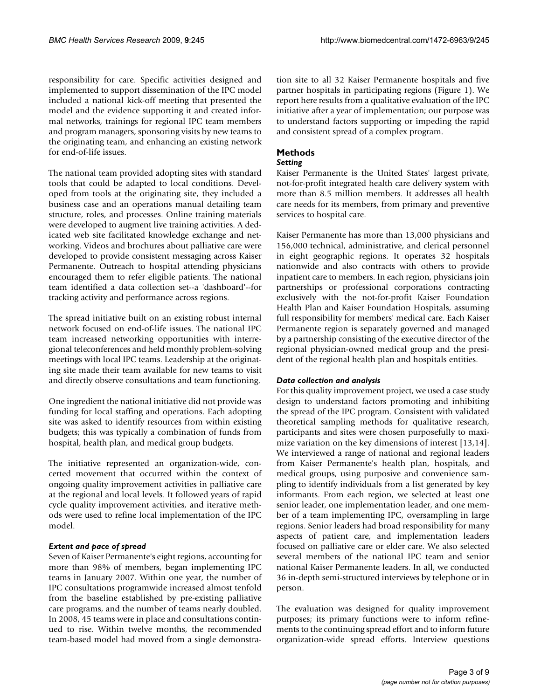responsibility for care. Specific activities designed and implemented to support dissemination of the IPC model included a national kick-off meeting that presented the model and the evidence supporting it and created informal networks, trainings for regional IPC team members and program managers, sponsoring visits by new teams to the originating team, and enhancing an existing network for end-of-life issues.

The national team provided adopting sites with standard tools that could be adapted to local conditions. Developed from tools at the originating site, they included a business case and an operations manual detailing team structure, roles, and processes. Online training materials were developed to augment live training activities. A dedicated web site facilitated knowledge exchange and networking. Videos and brochures about palliative care were developed to provide consistent messaging across Kaiser Permanente. Outreach to hospital attending physicians encouraged them to refer eligible patients. The national team identified a data collection set--a 'dashboard'--for tracking activity and performance across regions.

The spread initiative built on an existing robust internal network focused on end-of-life issues. The national IPC team increased networking opportunities with interregional teleconferences and held monthly problem-solving meetings with local IPC teams. Leadership at the originating site made their team available for new teams to visit and directly observe consultations and team functioning.

One ingredient the national initiative did not provide was funding for local staffing and operations. Each adopting site was asked to identify resources from within existing budgets; this was typically a combination of funds from hospital, health plan, and medical group budgets.

The initiative represented an organization-wide, concerted movement that occurred within the context of ongoing quality improvement activities in palliative care at the regional and local levels. It followed years of rapid cycle quality improvement activities, and iterative methods were used to refine local implementation of the IPC model.

#### *Extent and pace of spread*

Seven of Kaiser Permanente's eight regions, accounting for more than 98% of members, began implementing IPC teams in January 2007. Within one year, the number of IPC consultations programwide increased almost tenfold from the baseline established by pre-existing palliative care programs, and the number of teams nearly doubled. In 2008, 45 teams were in place and consultations continued to rise. Within twelve months, the recommended team-based model had moved from a single demonstration site to all 32 Kaiser Permanente hospitals and five partner hospitals in participating regions (Figure 1). We report here results from a qualitative evaluation of the IPC initiative after a year of implementation; our purpose was to understand factors supporting or impeding the rapid and consistent spread of a complex program.

## **Methods**

#### *Setting*

Kaiser Permanente is the United States' largest private, not-for-profit integrated health care delivery system with more than 8.5 million members. It addresses all health care needs for its members, from primary and preventive services to hospital care.

Kaiser Permanente has more than 13,000 physicians and 156,000 technical, administrative, and clerical personnel in eight geographic regions. It operates 32 hospitals nationwide and also contracts with others to provide inpatient care to members. In each region, physicians join partnerships or professional corporations contracting exclusively with the not-for-profit Kaiser Foundation Health Plan and Kaiser Foundation Hospitals, assuming full responsibility for members' medical care. Each Kaiser Permanente region is separately governed and managed by a partnership consisting of the executive director of the regional physician-owned medical group and the president of the regional health plan and hospitals entities.

#### *Data collection and analysis*

For this quality improvement project, we used a case study design to understand factors promoting and inhibiting the spread of the IPC program. Consistent with validated theoretical sampling methods for qualitative research, participants and sites were chosen purposefully to maximize variation on the key dimensions of interest [13,14]. We interviewed a range of national and regional leaders from Kaiser Permanente's health plan, hospitals, and medical groups, using purposive and convenience sampling to identify individuals from a list generated by key informants. From each region, we selected at least one senior leader, one implementation leader, and one member of a team implementing IPC, oversampling in large regions. Senior leaders had broad responsibility for many aspects of patient care, and implementation leaders focused on palliative care or elder care. We also selected several members of the national IPC team and senior national Kaiser Permanente leaders. In all, we conducted 36 in-depth semi-structured interviews by telephone or in person.

The evaluation was designed for quality improvement purposes; its primary functions were to inform refinements to the continuing spread effort and to inform future organization-wide spread efforts. Interview questions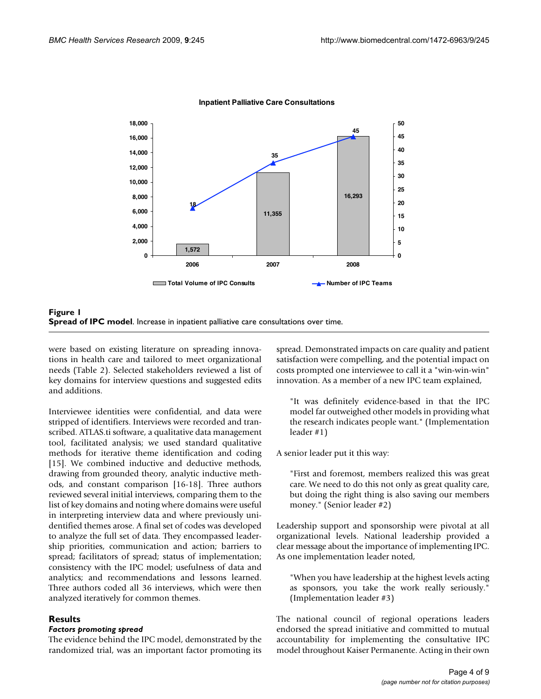

#### **Inpatient Palliative Care Consultations**

**Figure 1 Spread of IPC model**. Increase in inpatient palliative care consultations over time.

were based on existing literature on spreading innovations in health care and tailored to meet organizational needs (Table 2). Selected stakeholders reviewed a list of key domains for interview questions and suggested edits and additions.

Interviewee identities were confidential, and data were stripped of identifiers. Interviews were recorded and transcribed. ATLAS.ti software, a qualitative data management tool, facilitated analysis; we used standard qualitative methods for iterative theme identification and coding [15]. We combined inductive and deductive methods, drawing from grounded theory, analytic inductive methods, and constant comparison [16-18]. Three authors reviewed several initial interviews, comparing them to the list of key domains and noting where domains were useful in interpreting interview data and where previously unidentified themes arose. A final set of codes was developed to analyze the full set of data. They encompassed leadership priorities, communication and action; barriers to spread; facilitators of spread; status of implementation; consistency with the IPC model; usefulness of data and analytics; and recommendations and lessons learned. Three authors coded all 36 interviews, which were then analyzed iteratively for common themes.

#### **Results**

#### *Factors promoting spread*

The evidence behind the IPC model, demonstrated by the randomized trial, was an important factor promoting its

spread. Demonstrated impacts on care quality and patient satisfaction were compelling, and the potential impact on costs prompted one interviewee to call it a "win-win-win" innovation. As a member of a new IPC team explained,

"It was definitely evidence-based in that the IPC model far outweighed other models in providing what the research indicates people want." (Implementation leader #1)

A senior leader put it this way:

"First and foremost, members realized this was great care. We need to do this not only as great quality care, but doing the right thing is also saving our members money." (Senior leader #2)

Leadership support and sponsorship were pivotal at all organizational levels. National leadership provided a clear message about the importance of implementing IPC. As one implementation leader noted,

"When you have leadership at the highest levels acting as sponsors, you take the work really seriously." (Implementation leader #3)

The national council of regional operations leaders endorsed the spread initiative and committed to mutual accountability for implementing the consultative IPC model throughout Kaiser Permanente. Acting in their own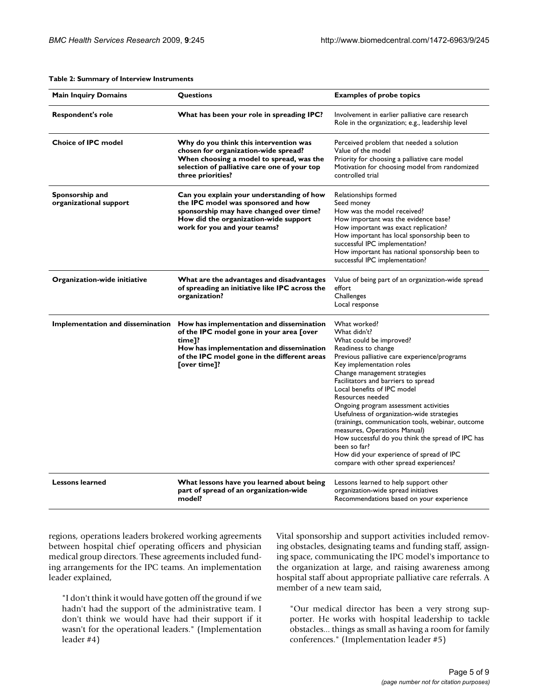| <b>Main Inquiry Domains</b>               | Questions                                                                                                                                                                                                  | <b>Examples of probe topics</b>                                                                                                                                                                                                                                                                                                                                                                                                                                                                                                                                                                                             |
|-------------------------------------------|------------------------------------------------------------------------------------------------------------------------------------------------------------------------------------------------------------|-----------------------------------------------------------------------------------------------------------------------------------------------------------------------------------------------------------------------------------------------------------------------------------------------------------------------------------------------------------------------------------------------------------------------------------------------------------------------------------------------------------------------------------------------------------------------------------------------------------------------------|
| <b>Respondent's role</b>                  | What has been your role in spreading IPC?                                                                                                                                                                  | Involvement in earlier palliative care research<br>Role in the organization; e.g., leadership level                                                                                                                                                                                                                                                                                                                                                                                                                                                                                                                         |
| <b>Choice of IPC model</b>                | Why do you think this intervention was<br>chosen for organization-wide spread?<br>When choosing a model to spread, was the<br>selection of palliative care one of your top<br>three priorities?            | Perceived problem that needed a solution<br>Value of the model<br>Priority for choosing a palliative care model<br>Motivation for choosing model from randomized<br>controlled trial                                                                                                                                                                                                                                                                                                                                                                                                                                        |
| Sponsorship and<br>organizational support | Can you explain your understanding of how<br>the IPC model was sponsored and how<br>sponsorship may have changed over time?<br>How did the organization-wide support<br>work for you and your teams?       | Relationships formed<br>Seed money<br>How was the model received?<br>How important was the evidence base?<br>How important was exact replication?<br>How important has local sponsorship been to<br>successful IPC implementation?<br>How important has national sponsorship been to<br>successful IPC implementation?                                                                                                                                                                                                                                                                                                      |
| Organization-wide initiative              | What are the advantages and disadvantages<br>of spreading an initiative like IPC across the<br>organization?                                                                                               | Value of being part of an organization-wide spread<br>effort<br>Challenges<br>Local response                                                                                                                                                                                                                                                                                                                                                                                                                                                                                                                                |
| Implementation and dissemination          | How has implementation and dissemination<br>of the IPC model gone in your area [over<br>time]?<br>How has implementation and dissemination<br>of the IPC model gone in the different areas<br>[over time]? | What worked?<br>What didn't?<br>What could be improved?<br>Readiness to change<br>Previous palliative care experience/programs<br>Key implementation roles<br>Change management strategies<br>Facilitators and barriers to spread<br>Local benefits of IPC model<br>Resources needed<br>Ongoing program assessment activities<br>Usefulness of organization-wide strategies<br>(trainings, communication tools, webinar, outcome<br>measures, Operations Manual)<br>How successful do you think the spread of IPC has<br>been so far?<br>How did your experience of spread of IPC<br>compare with other spread experiences? |
| <b>Lessons learned</b>                    | What lessons have you learned about being<br>part of spread of an organization-wide<br>model?                                                                                                              | Lessons learned to help support other<br>organization-wide spread initiatives<br>Recommendations based on your experience                                                                                                                                                                                                                                                                                                                                                                                                                                                                                                   |

#### **Table 2: Summary of Interview Instruments**

regions, operations leaders brokered working agreements between hospital chief operating officers and physician medical group directors. These agreements included funding arrangements for the IPC teams. An implementation leader explained,

"I don't think it would have gotten off the ground if we hadn't had the support of the administrative team. I don't think we would have had their support if it wasn't for the operational leaders." (Implementation leader #4)

Vital sponsorship and support activities included removing obstacles, designating teams and funding staff, assigning space, communicating the IPC model's importance to the organization at large, and raising awareness among hospital staff about appropriate palliative care referrals. A member of a new team said,

"Our medical director has been a very strong supporter. He works with hospital leadership to tackle obstacles... things as small as having a room for family conferences." (Implementation leader #5)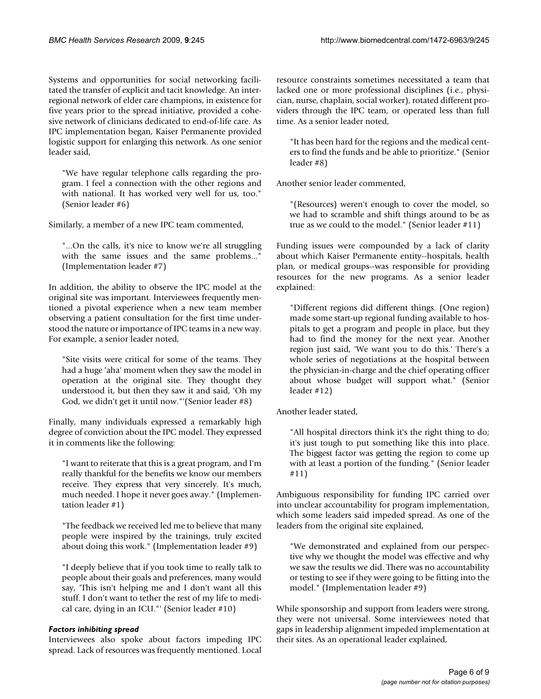Systems and opportunities for social networking facilitated the transfer of explicit and tacit knowledge. An interregional network of elder care champions, in existence for five years prior to the spread initiative, provided a cohesive network of clinicians dedicated to end-of-life care. As IPC implementation began, Kaiser Permanente provided logistic support for enlarging this network. As one senior leader said,

"We have regular telephone calls regarding the program. I feel a connection with the other regions and with national. It has worked very well for us, too." (Senior leader #6)

Similarly, a member of a new IPC team commented,

"...On the calls, it's nice to know we're all struggling with the same issues and the same problems..." (Implementation leader #7)

In addition, the ability to observe the IPC model at the original site was important. Interviewees frequently mentioned a pivotal experience when a new team member observing a patient consultation for the first time understood the nature or importance of IPC teams in a new way. For example, a senior leader noted,

"Site visits were critical for some of the teams. They had a huge 'aha' moment when they saw the model in operation at the original site. They thought they understood it, but then they saw it and said, 'Oh my God, we didn't get it until now."'(Senior leader #8)

Finally, many individuals expressed a remarkably high degree of conviction about the IPC model. They expressed it in comments like the following:

"I want to reiterate that this is a great program, and I'm really thankful for the benefits we know our members receive. They express that very sincerely. It's much, much needed. I hope it never goes away." (Implementation leader #1)

"The feedback we received led me to believe that many people were inspired by the trainings, truly excited about doing this work." (Implementation leader #9)

"I deeply believe that if you took time to really talk to people about their goals and preferences, many would say, 'This isn't helping me and I don't want all this stuff. I don't want to tether the rest of my life to medical care, dying in an ICU."' (Senior leader #10)

#### *Factors inhibiting spread*

Interviewees also spoke about factors impeding IPC spread. Lack of resources was frequently mentioned. Local

resource constraints sometimes necessitated a team that lacked one or more professional disciplines (i.e., physician, nurse, chaplain, social worker), rotated different providers through the IPC team, or operated less than full time. As a senior leader noted,

"It has been hard for the regions and the medical centers to find the funds and be able to prioritize." (Senior leader #8)

Another senior leader commented,

"(Resources) weren't enough to cover the model, so we had to scramble and shift things around to be as true as we could to the model." (Senior leader #11)

Funding issues were compounded by a lack of clarity about which Kaiser Permanente entity--hospitals, health plan, or medical groups--was responsible for providing resources for the new programs. As a senior leader explained:

"Different regions did different things. (One region) made some start-up regional funding available to hospitals to get a program and people in place, but they had to find the money for the next year. Another region just said, 'We want you to do this.' There's a whole series of negotiations at the hospital between the physician-in-charge and the chief operating officer about whose budget will support what." (Senior leader #12)

Another leader stated,

"All hospital directors think it's the right thing to do; it's just tough to put something like this into place. The biggest factor was getting the region to come up with at least a portion of the funding." (Senior leader #11)

Ambiguous responsibility for funding IPC carried over into unclear accountability for program implementation, which some leaders said impeded spread. As one of the leaders from the original site explained,

"We demonstrated and explained from our perspective why we thought the model was effective and why we saw the results we did. There was no accountability or testing to see if they were going to be fitting into the model." (Implementation leader #9)

While sponsorship and support from leaders were strong, they were not universal. Some interviewees noted that gaps in leadership alignment impeded implementation at their sites. As an operational leader explained,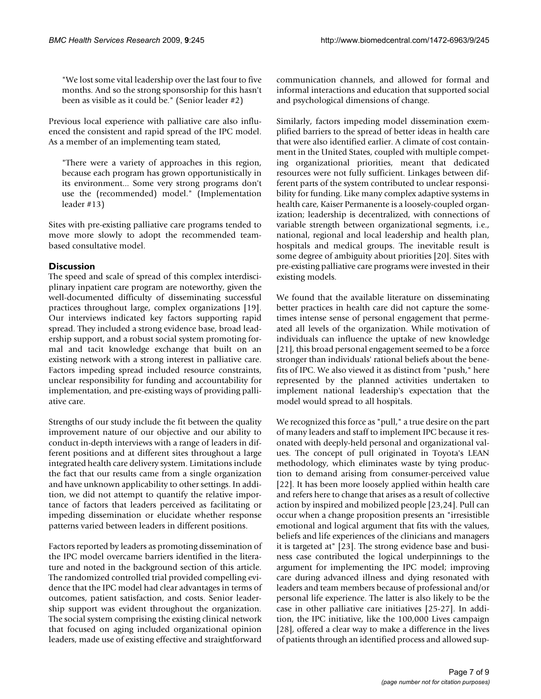"We lost some vital leadership over the last four to five months. And so the strong sponsorship for this hasn't been as visible as it could be." (Senior leader #2)

Previous local experience with palliative care also influenced the consistent and rapid spread of the IPC model. As a member of an implementing team stated,

"There were a variety of approaches in this region, because each program has grown opportunistically in its environment... Some very strong programs don't use the (recommended) model." (Implementation leader #13)

Sites with pre-existing palliative care programs tended to move more slowly to adopt the recommended teambased consultative model.

### **Discussion**

The speed and scale of spread of this complex interdisciplinary inpatient care program are noteworthy, given the well-documented difficulty of disseminating successful practices throughout large, complex organizations [19]. Our interviews indicated key factors supporting rapid spread. They included a strong evidence base, broad leadership support, and a robust social system promoting formal and tacit knowledge exchange that built on an existing network with a strong interest in palliative care. Factors impeding spread included resource constraints, unclear responsibility for funding and accountability for implementation, and pre-existing ways of providing palliative care.

Strengths of our study include the fit between the quality improvement nature of our objective and our ability to conduct in-depth interviews with a range of leaders in different positions and at different sites throughout a large integrated health care delivery system. Limitations include the fact that our results came from a single organization and have unknown applicability to other settings. In addition, we did not attempt to quantify the relative importance of factors that leaders perceived as facilitating or impeding dissemination or elucidate whether response patterns varied between leaders in different positions.

Factors reported by leaders as promoting dissemination of the IPC model overcame barriers identified in the literature and noted in the background section of this article. The randomized controlled trial provided compelling evidence that the IPC model had clear advantages in terms of outcomes, patient satisfaction, and costs. Senior leadership support was evident throughout the organization. The social system comprising the existing clinical network that focused on aging included organizational opinion leaders, made use of existing effective and straightforward

communication channels, and allowed for formal and informal interactions and education that supported social and psychological dimensions of change.

Similarly, factors impeding model dissemination exemplified barriers to the spread of better ideas in health care that were also identified earlier. A climate of cost containment in the United States, coupled with multiple competing organizational priorities, meant that dedicated resources were not fully sufficient. Linkages between different parts of the system contributed to unclear responsibility for funding. Like many complex adaptive systems in health care, Kaiser Permanente is a loosely-coupled organization; leadership is decentralized, with connections of variable strength between organizational segments, i.e., national, regional and local leadership and health plan, hospitals and medical groups. The inevitable result is some degree of ambiguity about priorities [20]. Sites with pre-existing palliative care programs were invested in their existing models.

We found that the available literature on disseminating better practices in health care did not capture the sometimes intense sense of personal engagement that permeated all levels of the organization. While motivation of individuals can influence the uptake of new knowledge [21], this broad personal engagement seemed to be a force stronger than individuals' rational beliefs about the benefits of IPC. We also viewed it as distinct from "push," here represented by the planned activities undertaken to implement national leadership's expectation that the model would spread to all hospitals.

We recognized this force as "pull," a true desire on the part of many leaders and staff to implement IPC because it resonated with deeply-held personal and organizational values. The concept of pull originated in Toyota's LEAN methodology, which eliminates waste by tying production to demand arising from consumer-perceived value [22]. It has been more loosely applied within health care and refers here to change that arises as a result of collective action by inspired and mobilized people [23,24]. Pull can occur when a change proposition presents an "irresistible emotional and logical argument that fits with the values, beliefs and life experiences of the clinicians and managers it is targeted at" [23]. The strong evidence base and business case contributed the logical underpinnings to the argument for implementing the IPC model; improving care during advanced illness and dying resonated with leaders and team members because of professional and/or personal life experience. The latter is also likely to be the case in other palliative care initiatives [25-27]. In addition, the IPC initiative, like the 100,000 Lives campaign [28], offered a clear way to make a difference in the lives of patients through an identified process and allowed sup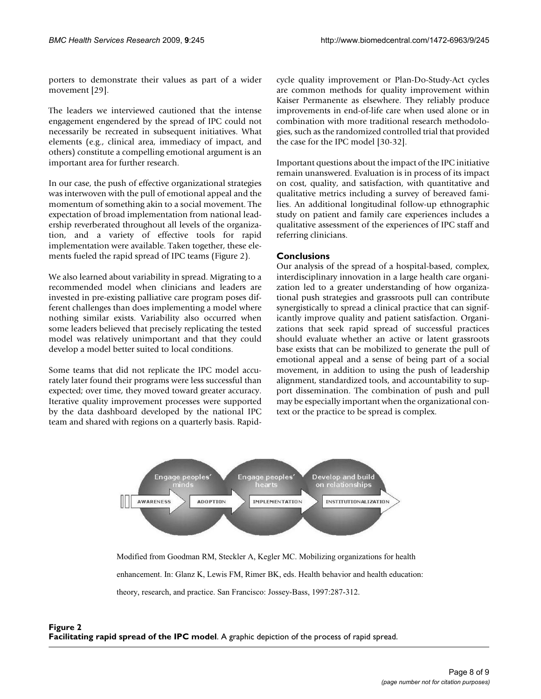porters to demonstrate their values as part of a wider movement [29].

The leaders we interviewed cautioned that the intense engagement engendered by the spread of IPC could not necessarily be recreated in subsequent initiatives. What elements (e.g., clinical area, immediacy of impact, and others) constitute a compelling emotional argument is an important area for further research.

In our case, the push of effective organizational strategies was interwoven with the pull of emotional appeal and the momentum of something akin to a social movement. The expectation of broad implementation from national leadership reverberated throughout all levels of the organization, and a variety of effective tools for rapid implementation were available. Taken together, these elements fueled the rapid spread of IPC teams (Figure 2).

We also learned about variability in spread. Migrating to a recommended model when clinicians and leaders are invested in pre-existing palliative care program poses different challenges than does implementing a model where nothing similar exists. Variability also occurred when some leaders believed that precisely replicating the tested model was relatively unimportant and that they could develop a model better suited to local conditions.

Some teams that did not replicate the IPC model accurately later found their programs were less successful than expected; over time, they moved toward greater accuracy. Iterative quality improvement processes were supported by the data dashboard developed by the national IPC team and shared with regions on a quarterly basis. Rapidcycle quality improvement or Plan-Do-Study-Act cycles are common methods for quality improvement within Kaiser Permanente as elsewhere. They reliably produce improvements in end-of-life care when used alone or in combination with more traditional research methodologies, such as the randomized controlled trial that provided the case for the IPC model [30-32].

Important questions about the impact of the IPC initiative remain unanswered. Evaluation is in process of its impact on cost, quality, and satisfaction, with quantitative and qualitative metrics including a survey of bereaved families. An additional longitudinal follow-up ethnographic study on patient and family care experiences includes a qualitative assessment of the experiences of IPC staff and referring clinicians.

#### **Conclusions**

Our analysis of the spread of a hospital-based, complex, interdisciplinary innovation in a large health care organization led to a greater understanding of how organizational push strategies and grassroots pull can contribute synergistically to spread a clinical practice that can significantly improve quality and patient satisfaction. Organizations that seek rapid spread of successful practices should evaluate whether an active or latent grassroots base exists that can be mobilized to generate the pull of emotional appeal and a sense of being part of a social movement, in addition to using the push of leadership alignment, standardized tools, and accountability to support dissemination. The combination of push and pull may be especially important when the organizational context or the practice to be spread is complex.



Modified from Goodman RM, Steckler A, Kegler MC. Mobilizing organizations for health enhancement. In: Glanz K, Lewis FM, Rimer BK, eds. Health behavior and health education: theory, research, and practice. San Francisco: Jossey-Bass, 1997:287-312.